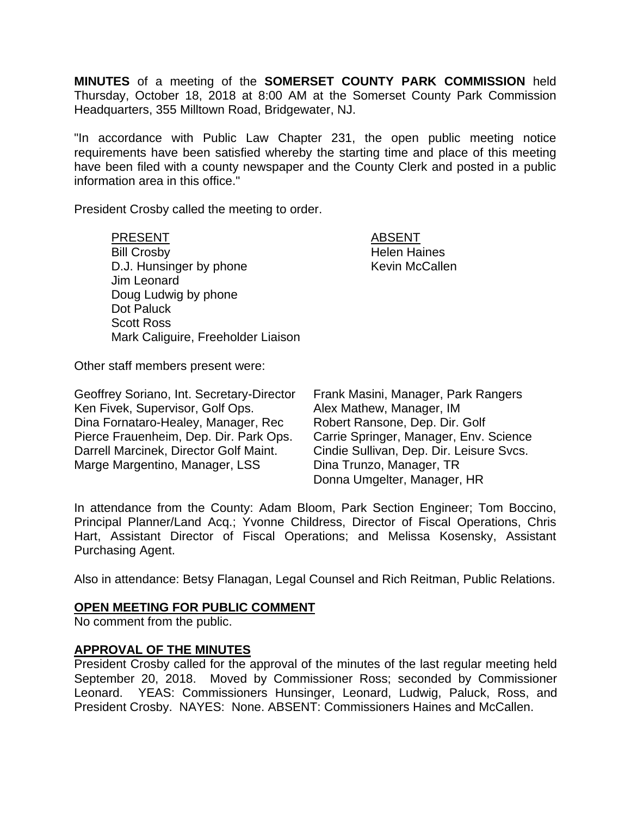**MINUTES** of a meeting of the **SOMERSET COUNTY PARK COMMISSION** held Thursday, October 18, 2018 at 8:00 AM at the Somerset County Park Commission Headquarters, 355 Milltown Road, Bridgewater, NJ.

"In accordance with Public Law Chapter 231, the open public meeting notice requirements have been satisfied whereby the starting time and place of this meeting have been filed with a county newspaper and the County Clerk and posted in a public information area in this office."

President Crosby called the meeting to order.

PRESENT ABSENT Bill Crosby **Helen** Haines D.J. Hunsinger by phone Kevin McCallen Jim Leonard Doug Ludwig by phone Dot Paluck Scott Ross Mark Caliguire, Freeholder Liaison

Other staff members present were:

| Geoffrey Soriano, Int. Secretary-Director | Frank Masini, Manager, Park Rangers      |
|-------------------------------------------|------------------------------------------|
| Ken Fivek, Supervisor, Golf Ops.          | Alex Mathew, Manager, IM                 |
| Dina Fornataro-Healey, Manager, Rec       | Robert Ransone, Dep. Dir. Golf           |
| Pierce Frauenheim, Dep. Dir. Park Ops.    | Carrie Springer, Manager, Env. Science   |
| Darrell Marcinek, Director Golf Maint.    | Cindie Sullivan, Dep. Dir. Leisure Svcs. |
| Marge Margentino, Manager, LSS            | Dina Trunzo, Manager, TR                 |
|                                           | Donna Umgelter, Manager, HR              |

In attendance from the County: Adam Bloom, Park Section Engineer; Tom Boccino, Principal Planner/Land Acq.; Yvonne Childress, Director of Fiscal Operations, Chris Hart, Assistant Director of Fiscal Operations; and Melissa Kosensky, Assistant Purchasing Agent.

Also in attendance: Betsy Flanagan, Legal Counsel and Rich Reitman, Public Relations.

#### **OPEN MEETING FOR PUBLIC COMMENT**

No comment from the public.

## **APPROVAL OF THE MINUTES**

President Crosby called for the approval of the minutes of the last regular meeting held September 20, 2018. Moved by Commissioner Ross; seconded by Commissioner Leonard. YEAS: Commissioners Hunsinger, Leonard, Ludwig, Paluck, Ross, and President Crosby. NAYES: None. ABSENT: Commissioners Haines and McCallen.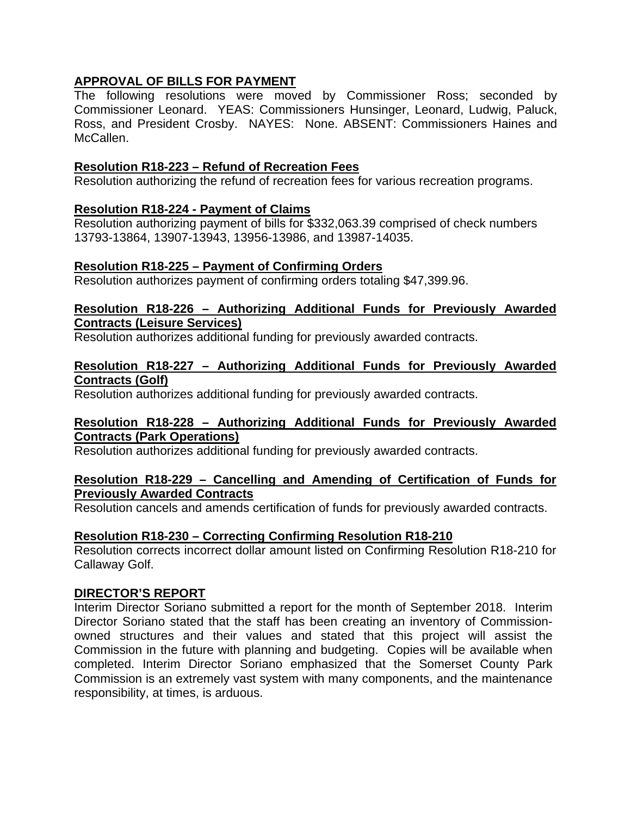# **APPROVAL OF BILLS FOR PAYMENT**

The following resolutions were moved by Commissioner Ross; seconded by Commissioner Leonard. YEAS: Commissioners Hunsinger, Leonard, Ludwig, Paluck, Ross, and President Crosby. NAYES: None. ABSENT: Commissioners Haines and McCallen.

## **Resolution R18-223 – Refund of Recreation Fees**

Resolution authorizing the refund of recreation fees for various recreation programs.

# **Resolution R18-224 - Payment of Claims**

Resolution authorizing payment of bills for \$332,063.39 comprised of check numbers 13793-13864, 13907-13943, 13956-13986, and 13987-14035.

## **Resolution R18-225 – Payment of Confirming Orders**

Resolution authorizes payment of confirming orders totaling \$47,399.96.

# **Resolution R18-226 – Authorizing Additional Funds for Previously Awarded Contracts (Leisure Services)**

Resolution authorizes additional funding for previously awarded contracts.

#### **Resolution R18-227 – Authorizing Additional Funds for Previously Awarded Contracts (Golf)**

Resolution authorizes additional funding for previously awarded contracts.

## **Resolution R18-228 – Authorizing Additional Funds for Previously Awarded Contracts (Park Operations)**

Resolution authorizes additional funding for previously awarded contracts.

## **Resolution R18-229 – Cancelling and Amending of Certification of Funds for Previously Awarded Contracts**

Resolution cancels and amends certification of funds for previously awarded contracts.

## **Resolution R18-230 – Correcting Confirming Resolution R18-210**

Resolution corrects incorrect dollar amount listed on Confirming Resolution R18-210 for Callaway Golf.

#### **DIRECTOR'S REPORT**

Interim Director Soriano submitted a report for the month of September 2018. Interim Director Soriano stated that the staff has been creating an inventory of Commissionowned structures and their values and stated that this project will assist the Commission in the future with planning and budgeting. Copies will be available when completed. Interim Director Soriano emphasized that the Somerset County Park Commission is an extremely vast system with many components, and the maintenance responsibility, at times, is arduous.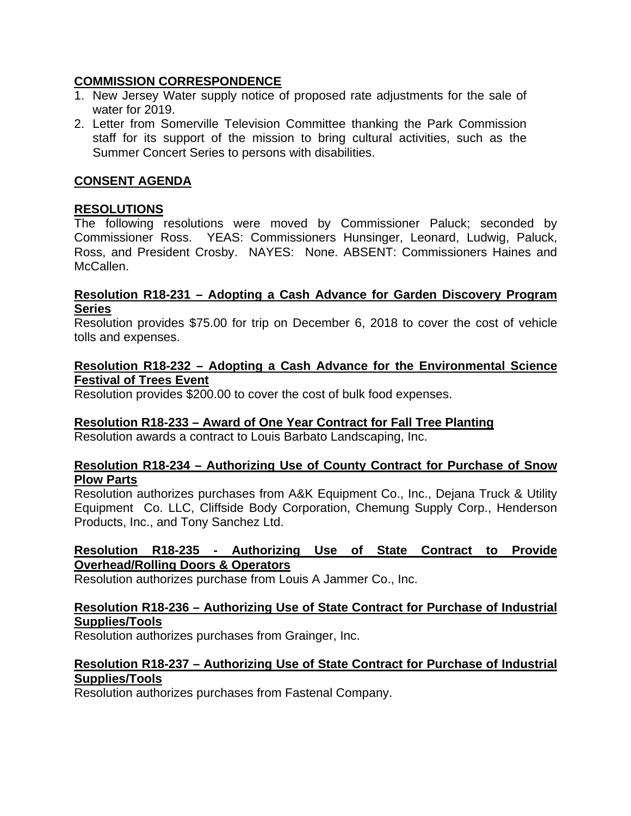# **COMMISSION CORRESPONDENCE**

- 1. New Jersey Water supply notice of proposed rate adjustments for the sale of water for 2019.
- 2. Letter from Somerville Television Committee thanking the Park Commission staff for its support of the mission to bring cultural activities, such as the Summer Concert Series to persons with disabilities.

# **CONSENT AGENDA**

# **RESOLUTIONS**

The following resolutions were moved by Commissioner Paluck; seconded by Commissioner Ross. YEAS: Commissioners Hunsinger, Leonard, Ludwig, Paluck, Ross, and President Crosby. NAYES: None. ABSENT: Commissioners Haines and McCallen.

#### **Resolution R18-231 – Adopting a Cash Advance for Garden Discovery Program Series**

Resolution provides \$75.00 for trip on December 6, 2018 to cover the cost of vehicle tolls and expenses.

#### **Resolution R18-232 – Adopting a Cash Advance for the Environmental Science Festival of Trees Event**

Resolution provides \$200.00 to cover the cost of bulk food expenses.

# **Resolution R18-233 – Award of One Year Contract for Fall Tree Planting**

Resolution awards a contract to Louis Barbato Landscaping, Inc.

## **Resolution R18-234 – Authorizing Use of County Contract for Purchase of Snow Plow Parts**

Resolution authorizes purchases from A&K Equipment Co., Inc., Dejana Truck & Utility Equipment Co. LLC, Cliffside Body Corporation, Chemung Supply Corp., Henderson Products, Inc., and Tony Sanchez Ltd.

# **Resolution R18-235 - Authorizing Use of State Contract to Provide Overhead/Rolling Doors & Operators**

Resolution authorizes purchase from Louis A Jammer Co., Inc.

# **Resolution R18-236 – Authorizing Use of State Contract for Purchase of Industrial Supplies/Tools**

Resolution authorizes purchases from Grainger, Inc.

# **Resolution R18-237 – Authorizing Use of State Contract for Purchase of Industrial Supplies/Tools**

Resolution authorizes purchases from Fastenal Company.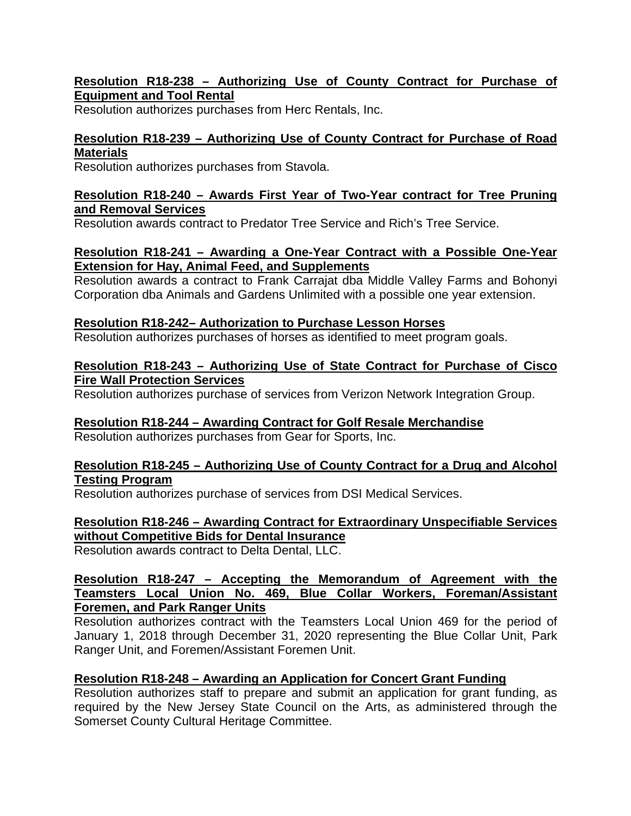# **Resolution R18-238 – Authorizing Use of County Contract for Purchase of Equipment and Tool Rental**

Resolution authorizes purchases from Herc Rentals, Inc.

# **Resolution R18-239 – Authorizing Use of County Contract for Purchase of Road Materials**

Resolution authorizes purchases from Stavola.

# **Resolution R18-240 – Awards First Year of Two-Year contract for Tree Pruning and Removal Services**

Resolution awards contract to Predator Tree Service and Rich's Tree Service.

# **Resolution R18-241 – Awarding a One-Year Contract with a Possible One-Year Extension for Hay, Animal Feed, and Supplements**

Resolution awards a contract to Frank Carrajat dba Middle Valley Farms and Bohonyi Corporation dba Animals and Gardens Unlimited with a possible one year extension.

# **Resolution R18-242– Authorization to Purchase Lesson Horses**

Resolution authorizes purchases of horses as identified to meet program goals.

#### **Resolution R18-243 – Authorizing Use of State Contract for Purchase of Cisco Fire Wall Protection Services**

Resolution authorizes purchase of services from Verizon Network Integration Group.

# **Resolution R18-244 – Awarding Contract for Golf Resale Merchandise**

Resolution authorizes purchases from Gear for Sports, Inc.

## **Resolution R18-245 – Authorizing Use of County Contract for a Drug and Alcohol Testing Program**

Resolution authorizes purchase of services from DSI Medical Services.

# **Resolution R18-246 – Awarding Contract for Extraordinary Unspecifiable Services without Competitive Bids for Dental Insurance**

Resolution awards contract to Delta Dental, LLC.

## **Resolution R18-247 – Accepting the Memorandum of Agreement with the Teamsters Local Union No. 469, Blue Collar Workers, Foreman/Assistant Foremen, and Park Ranger Units**

Resolution authorizes contract with the Teamsters Local Union 469 for the period of January 1, 2018 through December 31, 2020 representing the Blue Collar Unit, Park Ranger Unit, and Foremen/Assistant Foremen Unit.

# **Resolution R18-248 – Awarding an Application for Concert Grant Funding**

Resolution authorizes staff to prepare and submit an application for grant funding, as required by the New Jersey State Council on the Arts, as administered through the Somerset County Cultural Heritage Committee.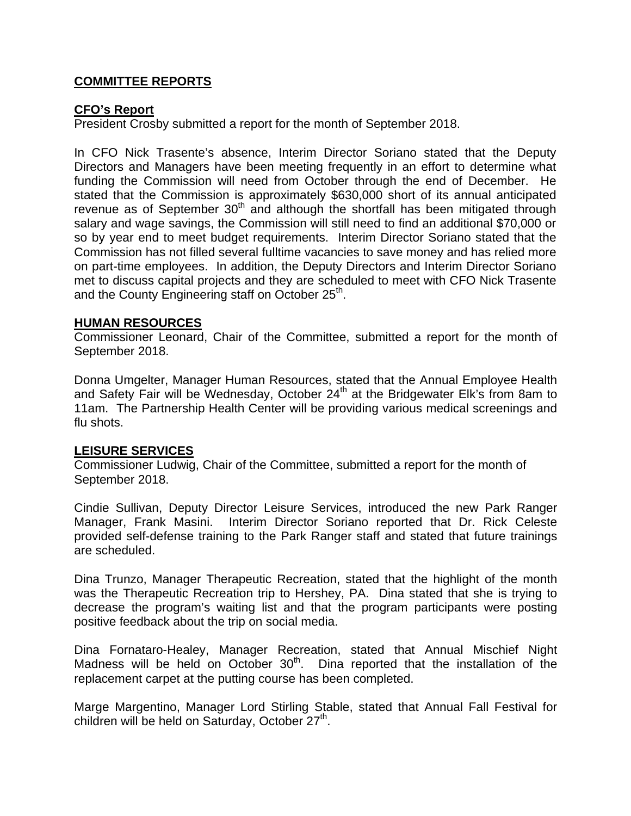# **COMMITTEE REPORTS**

## **CFO's Report**

President Crosby submitted a report for the month of September 2018.

In CFO Nick Trasente's absence, Interim Director Soriano stated that the Deputy Directors and Managers have been meeting frequently in an effort to determine what funding the Commission will need from October through the end of December. He stated that the Commission is approximately \$630,000 short of its annual anticipated revenue as of September  $30<sup>th</sup>$  and although the shortfall has been mitigated through salary and wage savings, the Commission will still need to find an additional \$70,000 or so by year end to meet budget requirements. Interim Director Soriano stated that the Commission has not filled several fulltime vacancies to save money and has relied more on part-time employees. In addition, the Deputy Directors and Interim Director Soriano met to discuss capital projects and they are scheduled to meet with CFO Nick Trasente and the County Engineering staff on October 25<sup>th</sup>.

#### **HUMAN RESOURCES**

Commissioner Leonard, Chair of the Committee, submitted a report for the month of September 2018.

Donna Umgelter, Manager Human Resources, stated that the Annual Employee Health and Safety Fair will be Wednesday, October 24<sup>th</sup> at the Bridgewater Elk's from 8am to 11am. The Partnership Health Center will be providing various medical screenings and flu shots.

## **LEISURE SERVICES**

Commissioner Ludwig, Chair of the Committee, submitted a report for the month of September 2018.

Cindie Sullivan, Deputy Director Leisure Services, introduced the new Park Ranger Manager, Frank Masini. Interim Director Soriano reported that Dr. Rick Celeste provided self-defense training to the Park Ranger staff and stated that future trainings are scheduled.

Dina Trunzo, Manager Therapeutic Recreation, stated that the highlight of the month was the Therapeutic Recreation trip to Hershey, PA. Dina stated that she is trying to decrease the program's waiting list and that the program participants were posting positive feedback about the trip on social media.

Dina Fornataro-Healey, Manager Recreation, stated that Annual Mischief Night Madness will be held on October  $30<sup>th</sup>$ . Dina reported that the installation of the replacement carpet at the putting course has been completed.

Marge Margentino, Manager Lord Stirling Stable, stated that Annual Fall Festival for children will be held on Saturday, October  $27<sup>th</sup>$ .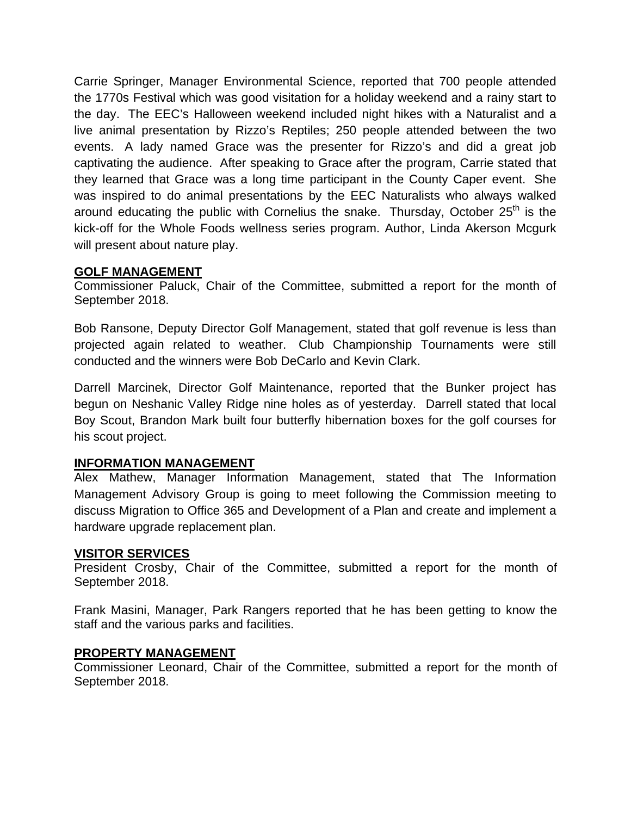Carrie Springer, Manager Environmental Science, reported that 700 people attended the 1770s Festival which was good visitation for a holiday weekend and a rainy start to the day. The EEC's Halloween weekend included night hikes with a Naturalist and a live animal presentation by Rizzo's Reptiles; 250 people attended between the two events. A lady named Grace was the presenter for Rizzo's and did a great job captivating the audience. After speaking to Grace after the program, Carrie stated that they learned that Grace was a long time participant in the County Caper event. She was inspired to do animal presentations by the EEC Naturalists who always walked around educating the public with Cornelius the snake. Thursday, October  $25<sup>th</sup>$  is the kick-off for the Whole Foods wellness series program. Author, Linda Akerson Mcgurk will present about nature play.

# **GOLF MANAGEMENT**

Commissioner Paluck, Chair of the Committee, submitted a report for the month of September 2018.

Bob Ransone, Deputy Director Golf Management, stated that golf revenue is less than projected again related to weather. Club Championship Tournaments were still conducted and the winners were Bob DeCarlo and Kevin Clark.

Darrell Marcinek, Director Golf Maintenance, reported that the Bunker project has begun on Neshanic Valley Ridge nine holes as of yesterday. Darrell stated that local Boy Scout, Brandon Mark built four butterfly hibernation boxes for the golf courses for his scout project.

# **INFORMATION MANAGEMENT**

Alex Mathew, Manager Information Management, stated that The Information Management Advisory Group is going to meet following the Commission meeting to discuss Migration to Office 365 and Development of a Plan and create and implement a hardware upgrade replacement plan.

## **VISITOR SERVICES**

President Crosby, Chair of the Committee, submitted a report for the month of September 2018.

Frank Masini, Manager, Park Rangers reported that he has been getting to know the staff and the various parks and facilities.

## **PROPERTY MANAGEMENT**

Commissioner Leonard, Chair of the Committee, submitted a report for the month of September 2018.